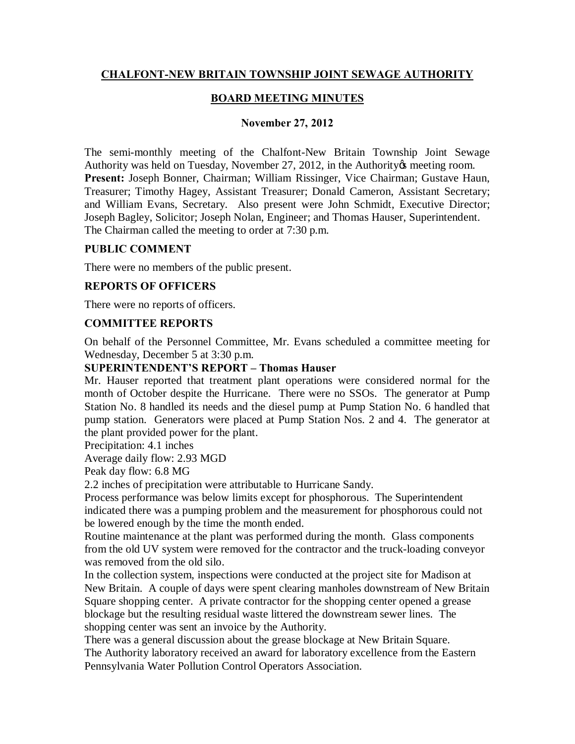# **CHALFONT-NEW BRITAIN TOWNSHIP JOINT SEWAGE AUTHORITY**

### **BOARD MEETING MINUTES**

#### **November 27, 2012**

The semi-monthly meeting of the Chalfont-New Britain Township Joint Sewage Authority was held on Tuesday, November 27, 2012, in the Authority is meeting room. **Present:** Joseph Bonner, Chairman; William Rissinger, Vice Chairman; Gustave Haun, Treasurer; Timothy Hagey, Assistant Treasurer; Donald Cameron, Assistant Secretary; and William Evans, Secretary. Also present were John Schmidt, Executive Director; Joseph Bagley, Solicitor; Joseph Nolan, Engineer; and Thomas Hauser, Superintendent. The Chairman called the meeting to order at 7:30 p.m.

#### **PUBLIC COMMENT**

There were no members of the public present.

#### **REPORTS OF OFFICERS**

There were no reports of officers.

### **COMMITTEE REPORTS**

On behalf of the Personnel Committee, Mr. Evans scheduled a committee meeting for Wednesday, December 5 at 3:30 p.m.

### **SUPERINTENDENT'S REPORT – Thomas Hauser**

Mr. Hauser reported that treatment plant operations were considered normal for the month of October despite the Hurricane. There were no SSOs. The generator at Pump Station No. 8 handled its needs and the diesel pump at Pump Station No. 6 handled that pump station. Generators were placed at Pump Station Nos. 2 and 4. The generator at the plant provided power for the plant.

Precipitation: 4.1 inches

Average daily flow: 2.93 MGD

Peak day flow: 6.8 MG

2.2 inches of precipitation were attributable to Hurricane Sandy.

Process performance was below limits except for phosphorous. The Superintendent indicated there was a pumping problem and the measurement for phosphorous could not be lowered enough by the time the month ended.

Routine maintenance at the plant was performed during the month. Glass components from the old UV system were removed for the contractor and the truck-loading conveyor was removed from the old silo.

In the collection system, inspections were conducted at the project site for Madison at New Britain. A couple of days were spent clearing manholes downstream of New Britain Square shopping center. A private contractor for the shopping center opened a grease blockage but the resulting residual waste littered the downstream sewer lines. The shopping center was sent an invoice by the Authority.

There was a general discussion about the grease blockage at New Britain Square. The Authority laboratory received an award for laboratory excellence from the Eastern Pennsylvania Water Pollution Control Operators Association.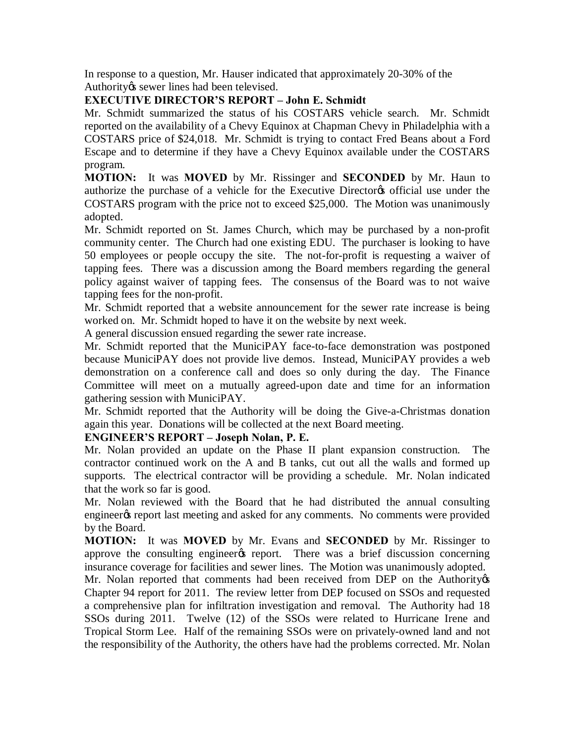In response to a question, Mr. Hauser indicated that approximately 20-30% of the Authority *is* sewer lines had been televised.

# **EXECUTIVE DIRECTOR'S REPORT – John E. Schmidt**

Mr. Schmidt summarized the status of his COSTARS vehicle search. Mr. Schmidt reported on the availability of a Chevy Equinox at Chapman Chevy in Philadelphia with a COSTARS price of \$24,018. Mr. Schmidt is trying to contact Fred Beans about a Ford Escape and to determine if they have a Chevy Equinox available under the COSTARS program.

**MOTION:** It was **MOVED** by Mr. Rissinger and **SECONDED** by Mr. Haun to authorize the purchase of a vehicle for the Executive Director is official use under the COSTARS program with the price not to exceed \$25,000. The Motion was unanimously adopted.

Mr. Schmidt reported on St. James Church, which may be purchased by a non-profit community center. The Church had one existing EDU. The purchaser is looking to have 50 employees or people occupy the site. The not-for-profit is requesting a waiver of tapping fees. There was a discussion among the Board members regarding the general policy against waiver of tapping fees. The consensus of the Board was to not waive tapping fees for the non-profit.

Mr. Schmidt reported that a website announcement for the sewer rate increase is being worked on. Mr. Schmidt hoped to have it on the website by next week.

A general discussion ensued regarding the sewer rate increase.

Mr. Schmidt reported that the MuniciPAY face-to-face demonstration was postponed because MuniciPAY does not provide live demos. Instead, MuniciPAY provides a web demonstration on a conference call and does so only during the day. The Finance Committee will meet on a mutually agreed-upon date and time for an information gathering session with MuniciPAY.

Mr. Schmidt reported that the Authority will be doing the Give-a-Christmas donation again this year. Donations will be collected at the next Board meeting.

### **ENGINEER'S REPORT – Joseph Nolan, P. E.**

Mr. Nolan provided an update on the Phase II plant expansion construction. The contractor continued work on the A and B tanks, cut out all the walls and formed up supports. The electrical contractor will be providing a schedule. Mr. Nolan indicated that the work so far is good.

Mr. Nolan reviewed with the Board that he had distributed the annual consulting engineer the report last meeting and asked for any comments. No comments were provided by the Board.

**MOTION:** It was **MOVED** by Mr. Evans and **SECONDED** by Mr. Rissinger to approve the consulting engineer the report. There was a brief discussion concerning insurance coverage for facilities and sewer lines. The Motion was unanimously adopted.

Mr. Nolan reported that comments had been received from DEP on the Authority os Chapter 94 report for 2011. The review letter from DEP focused on SSOs and requested a comprehensive plan for infiltration investigation and removal. The Authority had 18 SSOs during 2011. Twelve (12) of the SSOs were related to Hurricane Irene and Tropical Storm Lee. Half of the remaining SSOs were on privately-owned land and not the responsibility of the Authority, the others have had the problems corrected. Mr. Nolan